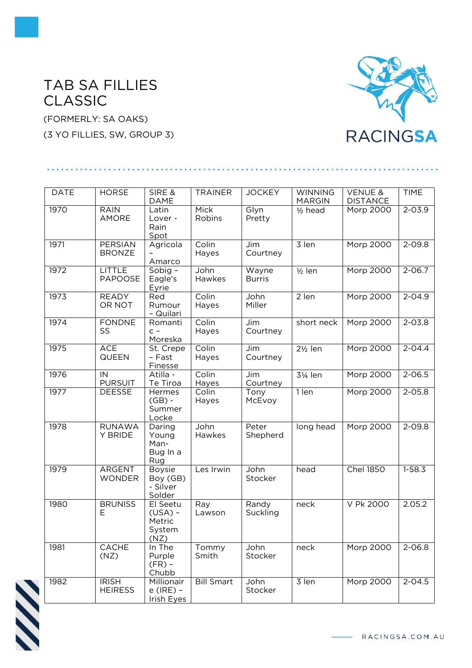## TAB SA FILLIES CLASSIC

(FORMERLY: SA OAKS) (3 YO FILLIES, SW, GROUP 3)



| <b>DATE</b> | <b>HORSE</b>                    | SIRE &<br><b>DAME</b>                             | <b>TRAINER</b>        | <b>JOCKEY</b>          | <b>WINNING</b><br><b>MARGIN</b> | <b>VENUE &amp;</b><br><b>DISTANCE</b> | <b>TIME</b> |
|-------------|---------------------------------|---------------------------------------------------|-----------------------|------------------------|---------------------------------|---------------------------------------|-------------|
| 1970        | <b>RAIN</b><br><b>AMORE</b>     | Latin<br>Lover -<br>Rain<br>Spot                  | <b>Mick</b><br>Robins | Glyn<br>Pretty         | $1/2$ head                      | Morp 2000                             | $2 - 03.9$  |
| 1971        | <b>PERSIAN</b><br><b>BRONZE</b> | Agricola<br>Amarco                                | Colin<br>Hayes        | Jim<br>Courtney        | 3 len                           | <b>Morp 2000</b>                      | $2 - 09.8$  |
| 1972        | <b>LITTLE</b><br><b>PAPOOSE</b> | Sobig -<br>Eagle's<br>Eyrie                       | John<br>Hawkes        | Wayne<br><b>Burris</b> | $1/2$ len                       | <b>Morp 2000</b>                      | $2 - 06.7$  |
| 1973        | <b>READY</b><br>OR NOT          | Red<br>Rumour<br>- Quilari                        | Colin<br>Hayes        | John<br>Miller         | 2 len                           | <b>Morp 2000</b>                      | $2 - 04.9$  |
| 1974        | <b>FONDNE</b><br>SS             | Romanti<br>$C -$<br>Moreska                       | Colin<br>Hayes        | Jim<br>Courtney        | short neck                      | Morp 2000                             | $2 - 03.8$  |
| 1975        | <b>ACE</b><br><b>QUEEN</b>      | St. Crepe<br>- Fast<br>Finesse                    | Colin<br>Hayes        | Jim<br>Courtney        | $2\frac{1}{2}$ len              | Morp 2000                             | $2 - 04.4$  |
| 1976        | IN<br><b>PURSUIT</b>            | Atilla -<br>Te Tiroa                              | Colin<br>Hayes        | Jim<br>Courtney        | 31/ <sub>4</sub> len            | Morp 2000                             | $2 - 06.5$  |
| 1977        | <b>DEESSE</b>                   | Hermes<br>$(GB)$ -<br>Summer<br>Locke             | Colin<br>Hayes        | Tony<br>McEvoy         | 1 len                           | Morp 2000                             | $2 - 05.8$  |
| 1978        | <b>RUNAWA</b><br>Y BRIDE        | Daring<br>Young<br>Man-<br>Bug In a<br>Rug        | John<br>Hawkes        | Peter<br>Shepherd      | long head                       | Morp 2000                             | $2 - 09.8$  |
| 1979        | ARGENT<br><b>WONDER</b>         | <b>Boysie</b><br>Boy (GB)<br>- Silver<br>Solder   | Les Irwin             | John<br>Stocker        | head                            | <b>Chel 1850</b>                      | $1 - 58.3$  |
| 1980        | <b>BRUNISS</b><br>Е             | El Seetu<br>$(USA) -$<br>Metric<br>System<br>(NZ) | Ray<br>Lawson         | Randy<br>Suckling      | neck                            | V Pk 2000                             | 2.05.2      |
| 1981        | <b>CACHE</b><br>(NZ)            | In The<br>Purple<br>$(FR)$ -<br>Chubb             | Tommy<br>Smith        | John<br>Stocker        | neck                            | Morp 2000                             | $2 - 06.8$  |
| 1982        | <b>IRISH</b><br><b>HEIRESS</b>  | Millionair<br>$e$ (IRE) -<br><b>Irish Eyes</b>    | <b>Bill Smart</b>     | John<br>Stocker        | 3 len                           | <b>Morp 2000</b>                      | $2 - 04.5$  |

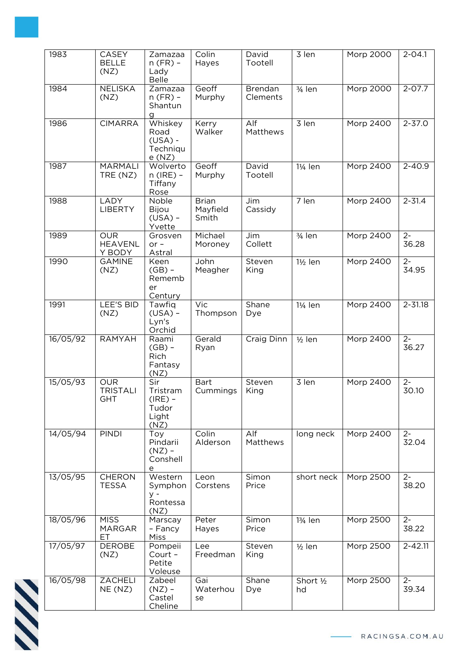| 1983     | <b>CASEY</b><br><b>BELLE</b><br>(NZ)        | Zamazaa<br>$n$ (FR) -<br>Lady<br><b>Belle</b>          | Colin<br>Hayes                      | David<br>Tootell                   | 3 len                | Morp 2000        | $2 - 04.1$     |
|----------|---------------------------------------------|--------------------------------------------------------|-------------------------------------|------------------------------------|----------------------|------------------|----------------|
| 1984     | <b>NELISKA</b><br>(NZ)                      | Zamazaa<br>$n$ (FR) -<br>Shantun<br>$\overline{g}$     | Geoff<br>Murphy                     | <b>Brendan</b><br>Clements         | 3/ <sub>4</sub> len  | Morp 2000        | $2 - 07.7$     |
| 1986     | <b>CIMARRA</b>                              | Whiskey<br>Road<br>$(USA) -$<br>Techniqu<br>e(NZ)      | Kerry<br>Walker                     | $\overline{Alf}$<br>Matthews       | 3 len                | Morp 2400        | $2 - 37.0$     |
| 1987     | <b>MARMALI</b><br>TRE (NZ)                  | Wolverto<br>$n$ (IRE) -<br>Tiffany<br>Rose             | Geoff<br>Murphy                     | David<br>Tootell                   | 11/ <sub>4</sub> len | Morp 2400        | $2 - 40.9$     |
| 1988     | LADY<br><b>LIBERTY</b>                      | Noble<br>Bijou<br>$(USA) -$<br>Yvette                  | <b>Brian</b><br>Mayfield<br>Smith   | Jim<br>Cassidy                     | 7 len                | Morp 2400        | $2 - 31.4$     |
| 1989     | <b>OUR</b><br><b>HEAVENL</b><br>Y BODY      | Grosven<br>$or -$<br>Astral                            | Michael<br>Moroney                  | Jim<br>Collett                     | 3/ <sub>4</sub> len  | <b>Morp 2400</b> | $2 -$<br>36.28 |
| 1990     | <b>GAMINE</b><br>(NZ)                       | Keen<br>$(GB)$ -<br>Rememb<br>er<br>Century            | John<br>Meagher                     | Steven<br>King                     | 1½ len               | <b>Morp 2400</b> | $2 -$<br>34.95 |
| 1991     | LEE'S BID<br>(NZ)                           | Tawfiq<br>$(USA) -$<br>Lyn's<br>Orchid                 | $\overline{\text{Vic}}$<br>Thompson | $\overline{\mathsf{Shane}}$<br>Dye | 11/ <sub>4</sub> len | Morp 2400        | $2 - 31.18$    |
| 16/05/92 | <b>RAMYAH</b>                               | Raami<br>$(GB)$ -<br>Rich<br>Fantasy<br>(NZ)           | Gerald<br>Ryan                      | Craig Dinn                         | $1/2$ len            | Morp 2400        | $2 -$<br>36.27 |
| 15/05/93 | <b>OUR</b><br><b>TRISTALI</b><br><b>GHT</b> | Sir<br>Tristram<br>$(IRE) -$<br>Tudor<br>Light<br>(NZ) | <b>Bart</b><br>Cummings             | Steven<br>King                     | 3 len                | Morp 2400        | $2 -$<br>30.10 |
| 14/05/94 | <b>PINDI</b>                                | Toy<br>Pindarii<br>$(NZ)$ -<br>Conshell<br>е           | Colin<br>Alderson                   | Alf<br>Matthews                    | long neck            | Morp 2400        | $2 -$<br>32.04 |
| 13/05/95 | <b>CHERON</b><br><b>TESSA</b>               | Western<br>Symphon<br>$V -$<br>Rontessa<br>(NZ)        | Leon<br>Corstens                    | Simon<br>Price                     | short neck           | Morp 2500        | $2 -$<br>38.20 |
| 18/05/96 | <b>MISS</b><br><b>MARGAR</b><br>EТ          | Marscay<br>- Fancy<br>Miss                             | Peter<br>Hayes                      | Simon<br>Price                     | 13/ <sub>4</sub> len | Morp 2500        | $2 -$<br>38.22 |
| 17/05/97 | <b>DEROBE</b><br>(NZ)                       | Pompeii<br>Court -<br>Petite<br>Voleuse                | Lee<br>Freedman                     | Steven<br>King                     | $1/2$ len            | Morp 2500        | $2 - 42.11$    |
| 16/05/98 | <b>ZACHELI</b><br>NE (NZ)                   | Zabeel<br>$(NZ)$ -<br>Castel<br>Cheline                | Gai<br>Waterhou<br>se               | Shane<br>Dye                       | Short 1/2<br>hd      | Morp 2500        | $2 -$<br>39.34 |

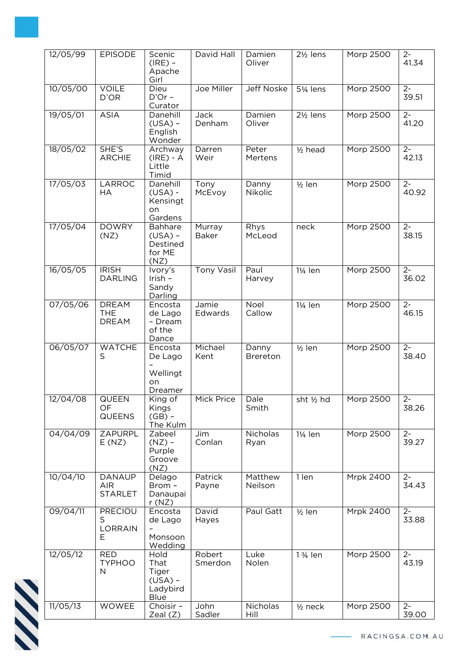| 12/05/99 | <b>EPISODE</b>                                | Scenic<br>$(IRE) -$<br>Apache<br>Girl                  | David Hall             | Damien<br>Oliver   | 21/ <sub>2</sub> lens | Morp 2500        | $2 -$<br>41.34          |
|----------|-----------------------------------------------|--------------------------------------------------------|------------------------|--------------------|-----------------------|------------------|-------------------------|
| 10/05/00 | <b>VOILE</b><br>D'OR                          | Dieu<br>$D'Or -$<br>Curator                            | Joe Miller             | <b>Jeff Noske</b>  | 51⁄4 lens             | Morp 2500        | $2 -$<br>39.51          |
| 19/05/01 | <b>ASIA</b>                                   | Danehill<br>$(USA) -$<br>English<br>Wonder             | Jack<br>Denham         | Damien<br>Oliver   | 21/ <sub>2</sub> lens | Morp 2500        | $\overline{2}$<br>41.20 |
| 18/05/02 | SHE'S<br><b>ARCHIE</b>                        | Archway<br>$(IRE) - A$<br>Little<br>Timid              | Darren<br>Weir         | Peter<br>Mertens   | $1/2$ head            | Morp 2500        | $2 -$<br>42.13          |
| 17/05/03 | <b>LARROC</b><br><b>HA</b>                    | Danehill<br>$(USA) -$<br>Kensingt<br>on<br>Gardens     | Tony<br>McEvoy         | Danny<br>Nikolic   | $1/2$ len             | <b>Morp 2500</b> | $2 -$<br>40.92          |
| 17/05/04 | <b>DOWRY</b><br>(NZ)                          | Bahhare<br>$(USA) -$<br>Destined<br>for ME<br>(NZ)     | Murray<br><b>Baker</b> | Rhys<br>McLeod     | neck                  | Morp 2500        | $2 -$<br>38.15          |
| 16/05/05 | <b>IRISH</b><br><b>DARLING</b>                | Ivory's<br>Irish -<br>Sandy<br>Darling                 | <b>Tony Vasil</b>      | Paul<br>Harvey     | 11/ <sub>4</sub> len  | <b>Morp 2500</b> | $2 -$<br>36.02          |
| 07/05/06 | <b>DREAM</b><br><b>THE</b><br><b>DREAM</b>    | Encosta<br>de Lago<br>- Dream<br>of the<br>Dance       | Jamie<br>Edwards       | Noel<br>Callow     | 11/ <sub>4</sub> len  | Morp 2500        | $\overline{2}$<br>46.15 |
| 06/05/07 | <b>WATCHE</b><br>S                            | Encosta<br>De Lago<br>Wellingt<br>on<br>Dreamer        | Michael<br>Kent        | Danny<br>Brereton  | $1/2$ len             | Morp 2500        | $2 -$<br>38.40          |
| 12/04/08 | <b>QUEEN</b><br>OF<br><b>QUEENS</b>           | King of<br><b>Kings</b><br>$(GB)$ -<br>The Kulm        | Mick Price             | Dale<br>Smith      | sht 1/2 hd            | Morp 2500        | $2 -$<br>38.26          |
| 04/04/09 | ZAPURPL<br>E(NZ)                              | Zabeel<br>$(NZ)$ -<br>Purple<br>Groove<br>(NZ)         | Jim<br>Conlan          | Nicholas<br>Ryan   | 11/ <sub>4</sub> len  | Morp 2500        | $2 -$<br>39.27          |
| 10/04/10 | <b>DANAUP</b><br><b>AIR</b><br><b>STARLET</b> | Delago<br>Brom -<br>Danaupai<br>r(NZ)                  | Patrick<br>Payne       | Matthew<br>Neilson | 1 len                 | <b>Mrpk 2400</b> | $2 -$<br>34.43          |
| 09/04/11 | <b>PRECIOU</b><br>S<br>LORRAIN<br>Ε           | Encosta<br>de Lago<br>Monsoon<br>Wedding               | David<br>Hayes         | Paul Gatt          | $1/2$ len             | Mrpk 2400        | $2 -$<br>33.88          |
| 12/05/12 | <b>RED</b><br><b>TYPHOO</b><br>N              | Hold<br>That<br>Tiger<br>$(USA) -$<br>Ladybird<br>Blue | Robert<br>Smerdon      | Luke<br>Nolen      | 1 3/ <sub>4</sub> len | Morp 2500        | $2 -$<br>43.19          |
| 11/05/13 | <b>WOWEE</b>                                  | Choisir -<br>Zeal (Z)                                  | John<br>Sadler         | Nicholas<br>Hill   | $1/2$ neck            | Morp 2500        | $2 -$<br>39.00          |